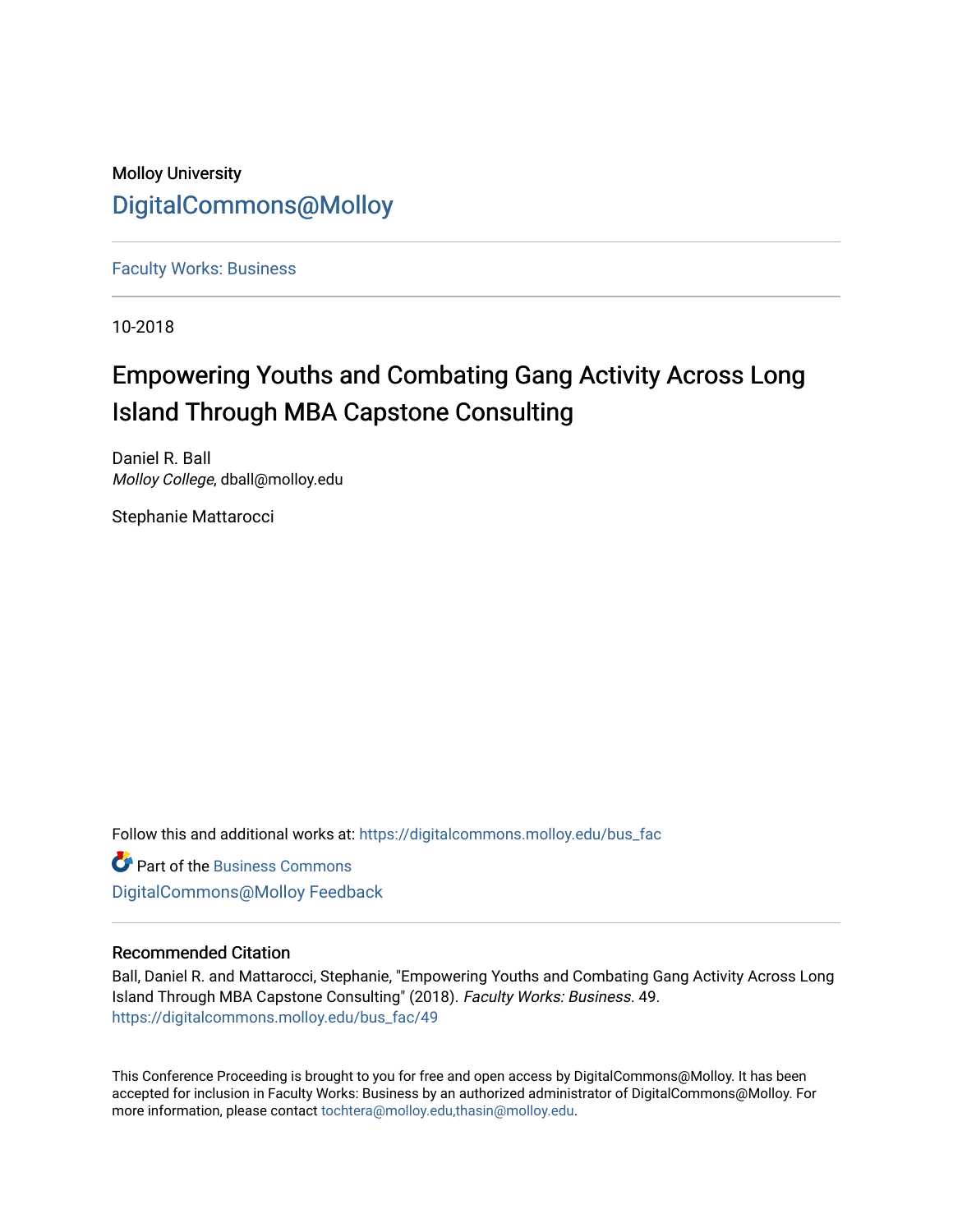Molloy University [DigitalCommons@Molloy](https://digitalcommons.molloy.edu/) 

[Faculty Works: Business](https://digitalcommons.molloy.edu/bus_fac) 

10-2018

## Empowering Youths and Combating Gang Activity Across Long Island Through MBA Capstone Consulting

Daniel R. Ball Molloy College, dball@molloy.edu

Stephanie Mattarocci

Follow this and additional works at: [https://digitalcommons.molloy.edu/bus\\_fac](https://digitalcommons.molloy.edu/bus_fac?utm_source=digitalcommons.molloy.edu%2Fbus_fac%2F49&utm_medium=PDF&utm_campaign=PDFCoverPages)

**C** Part of the [Business Commons](https://network.bepress.com/hgg/discipline/622?utm_source=digitalcommons.molloy.edu%2Fbus_fac%2F49&utm_medium=PDF&utm_campaign=PDFCoverPages) [DigitalCommons@Molloy Feedback](https://molloy.libwizard.com/f/dcfeedback)

## Recommended Citation

Ball, Daniel R. and Mattarocci, Stephanie, "Empowering Youths and Combating Gang Activity Across Long Island Through MBA Capstone Consulting" (2018). Faculty Works: Business. 49. [https://digitalcommons.molloy.edu/bus\\_fac/49](https://digitalcommons.molloy.edu/bus_fac/49?utm_source=digitalcommons.molloy.edu%2Fbus_fac%2F49&utm_medium=PDF&utm_campaign=PDFCoverPages) 

This Conference Proceeding is brought to you for free and open access by DigitalCommons@Molloy. It has been accepted for inclusion in Faculty Works: Business by an authorized administrator of DigitalCommons@Molloy. For more information, please contact [tochtera@molloy.edu,thasin@molloy.edu.](mailto:tochtera@molloy.edu,thasin@molloy.edu)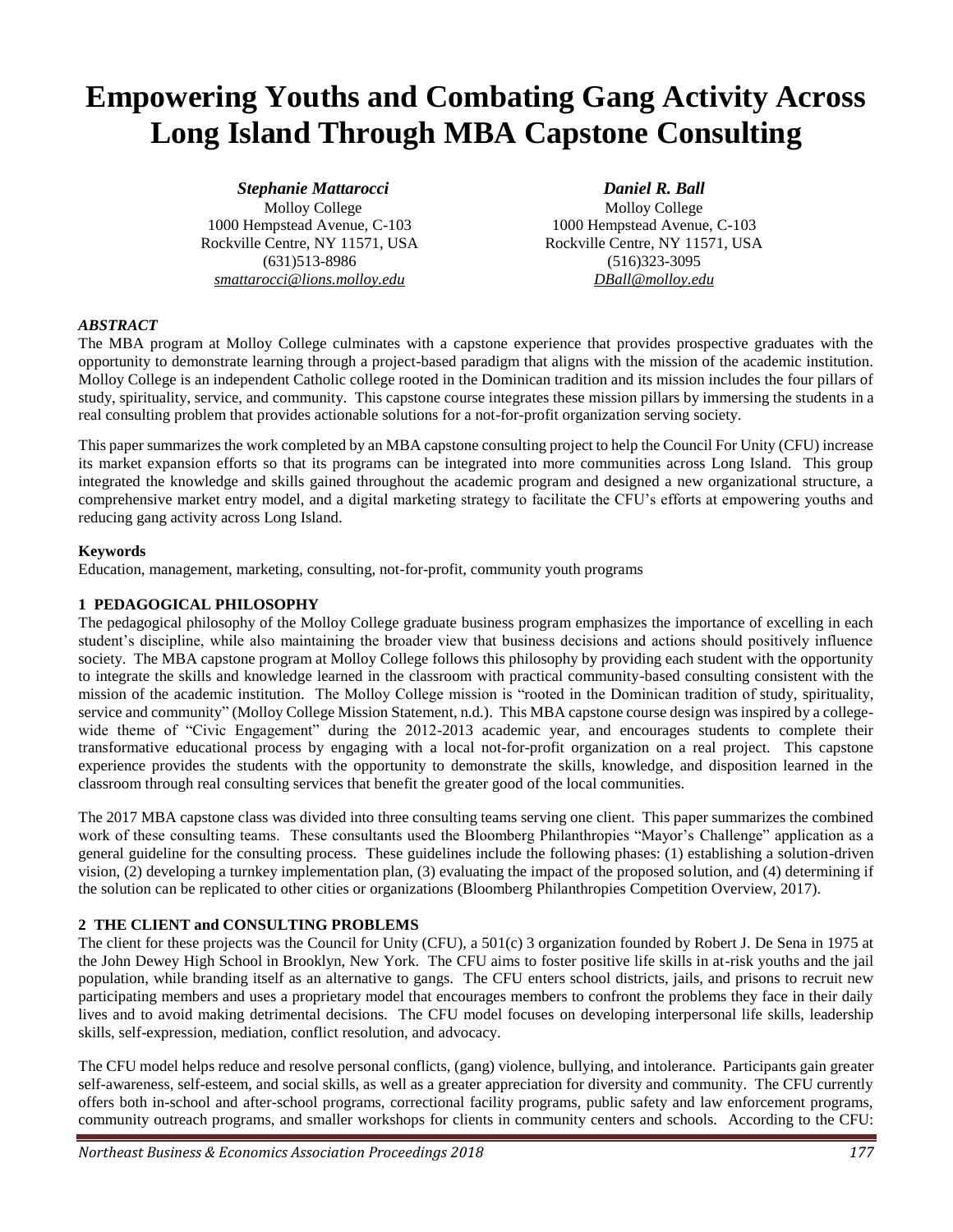# **Empowering Youths and Combating Gang Activity Across Long Island Through MBA Capstone Consulting**

*Stephanie Mattarocci* Molloy College 1000 Hempstead Avenue, C-103 Rockville Centre, NY 11571, USA (631)513-8986 *smattarocci@lions.molloy.edu*

*Daniel R. Ball* Molloy College 1000 Hempstead Avenue, C-103 Rockville Centre, NY 11571, USA (516)323-3095 *DBall@molloy.edu*

## *ABSTRACT*

The MBA program at Molloy College culminates with a capstone experience that provides prospective graduates with the opportunity to demonstrate learning through a project-based paradigm that aligns with the mission of the academic institution. Molloy College is an independent Catholic college rooted in the Dominican tradition and its mission includes the four pillars of study, spirituality, service, and community. This capstone course integrates these mission pillars by immersing the students in a real consulting problem that provides actionable solutions for a not-for-profit organization serving society.

This paper summarizes the work completed by an MBA capstone consulting project to help the Council For Unity (CFU) increase its market expansion efforts so that its programs can be integrated into more communities across Long Island. This group integrated the knowledge and skills gained throughout the academic program and designed a new organizational structure, a comprehensive market entry model, and a digital marketing strategy to facilitate the CFU's efforts at empowering youths and reducing gang activity across Long Island.

#### **Keywords**

Education, management, marketing, consulting, not-for-profit, community youth programs

#### **1 PEDAGOGICAL PHILOSOPHY**

The pedagogical philosophy of the Molloy College graduate business program emphasizes the importance of excelling in each student's discipline, while also maintaining the broader view that business decisions and actions should positively influence society. The MBA capstone program at Molloy College follows this philosophy by providing each student with the opportunity to integrate the skills and knowledge learned in the classroom with practical community-based consulting consistent with the mission of the academic institution. The Molloy College mission is "rooted in the Dominican tradition of study, spirituality, service and community" (Molloy College Mission Statement, n.d.). This MBA capstone course design was inspired by a collegewide theme of "Civic Engagement" during the 2012-2013 academic year, and encourages students to complete their transformative educational process by engaging with a local not-for-profit organization on a real project. This capstone experience provides the students with the opportunity to demonstrate the skills, knowledge, and disposition learned in the classroom through real consulting services that benefit the greater good of the local communities.

The 2017 MBA capstone class was divided into three consulting teams serving one client. This paper summarizes the combined work of these consulting teams. These consultants used the Bloomberg Philanthropies "Mayor's Challenge" application as a general guideline for the consulting process. These guidelines include the following phases: (1) establishing a solution-driven vision, (2) developing a turnkey implementation plan, (3) evaluating the impact of the proposed solution, and (4) determining if the solution can be replicated to other cities or organizations (Bloomberg Philanthropies Competition Overview, 2017).

## **2 THE CLIENT and CONSULTING PROBLEMS**

The client for these projects was the Council for Unity (CFU), a 501(c) 3 organization founded by Robert J. De Sena in 1975 at the John Dewey High School in Brooklyn, New York. The CFU aims to foster positive life skills in at-risk youths and the jail population, while branding itself as an alternative to gangs. The CFU enters school districts, jails, and prisons to recruit new participating members and uses a proprietary model that encourages members to confront the problems they face in their daily lives and to avoid making detrimental decisions. The CFU model focuses on developing interpersonal life skills, leadership skills, self-expression, mediation, conflict resolution, and advocacy.

The CFU model helps reduce and resolve personal conflicts, (gang) violence, bullying, and intolerance. Participants gain greater self-awareness, self-esteem, and social skills, as well as a greater appreciation for diversity and community. The CFU currently offers both in-school and after-school programs, correctional facility programs, public safety and law enforcement programs, community outreach programs, and smaller workshops for clients in community centers and schools. According to the CFU: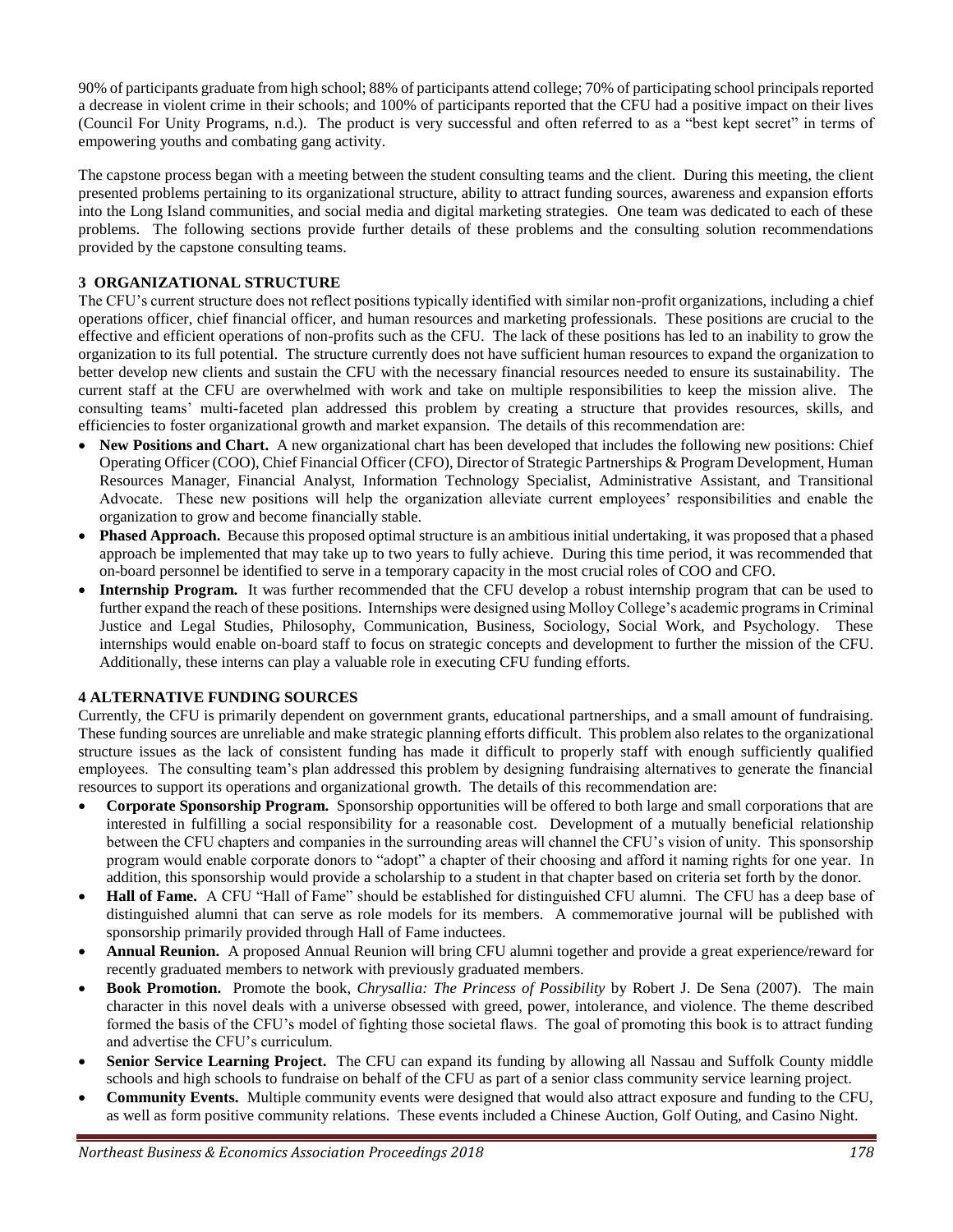90% of participants graduate from high school; 88% of participants attend college; 70% of participating school principals reported a decrease in violent crime in their schools; and 100% of participants reported that the CFU had a positive impact on their lives (Council For Unity Programs, n.d.). The product is very successful and often referred to as a "best kept secret" in terms of empowering youths and combating gang activity.

The capstone process began with a meeting between the student consulting teams and the client. During this meeting, the client presented problems pertaining to its organizational structure, ability to attract funding sources, awareness and expansion efforts into the Long Island communities, and social media and digital marketing strategies. One team was dedicated to each of these problems. The following sections provide further details of these problems and the consulting solution recommendations provided by the capstone consulting teams.

## **3 ORGANIZATIONAL STRUCTURE**

The CFU's current structure does not reflect positions typically identified with similar non-profit organizations, including a chief operations officer, chief financial officer, and human resources and marketing professionals. These positions are crucial to the effective and efficient operations of non-profits such as the CFU. The lack of these positions has led to an inability to grow the organization to its full potential. The structure currently does not have sufficient human resources to expand the organization to better develop new clients and sustain the CFU with the necessary financial resources needed to ensure its sustainability. The current staff at the CFU are overwhelmed with work and take on multiple responsibilities to keep the mission alive. The consulting teams' multi-faceted plan addressed this problem by creating a structure that provides resources, skills, and efficiencies to foster organizational growth and market expansion. The details of this recommendation are:

- **New Positions and Chart.** A new organizational chart has been developed that includes the following new positions: Chief Operating Officer (COO), Chief Financial Officer (CFO), Director of Strategic Partnerships & Program Development, Human Resources Manager, Financial Analyst, Information Technology Specialist, Administrative Assistant, and Transitional Advocate. These new positions will help the organization alleviate current employees' responsibilities and enable the organization to grow and become financially stable.
- **Phased Approach.** Because this proposed optimal structure is an ambitious initial undertaking, it was proposed that a phased approach be implemented that may take up to two years to fully achieve. During this time period, it was recommended that on-board personnel be identified to serve in a temporary capacity in the most crucial roles of COO and CFO.
- **Internship Program.** It was further recommended that the CFU develop a robust internship program that can be used to further expand the reach of these positions. Internships were designed using Molloy College's academic programs in Criminal Justice and Legal Studies, Philosophy, Communication, Business, Sociology, Social Work, and Psychology. These internships would enable on-board staff to focus on strategic concepts and development to further the mission of the CFU. Additionally, these interns can play a valuable role in executing CFU funding efforts.

## **4 ALTERNATIVE FUNDING SOURCES**

Currently, the CFU is primarily dependent on government grants, educational partnerships, and a small amount of fundraising. These funding sources are unreliable and make strategic planning efforts difficult. This problem also relates to the organizational structure issues as the lack of consistent funding has made it difficult to properly staff with enough sufficiently qualified employees. The consulting team's plan addressed this problem by designing fundraising alternatives to generate the financial resources to support its operations and organizational growth. The details of this recommendation are:

- **Corporate Sponsorship Program.** Sponsorship opportunities will be offered to both large and small corporations that are interested in fulfilling a social responsibility for a reasonable cost. Development of a mutually beneficial relationship between the CFU chapters and companies in the surrounding areas will channel the CFU's vision of unity. This sponsorship program would enable corporate donors to "adopt" a chapter of their choosing and afford it naming rights for one year. In addition, this sponsorship would provide a scholarship to a student in that chapter based on criteria set forth by the donor.
- **Hall of Fame.** A CFU "Hall of Fame" should be established for distinguished CFU alumni. The CFU has a deep base of distinguished alumni that can serve as role models for its members. A commemorative journal will be published with sponsorship primarily provided through Hall of Fame inductees.
- **Annual Reunion.** A proposed Annual Reunion will bring CFU alumni together and provide a great experience/reward for recently graduated members to network with previously graduated members.
- **Book Promotion.** Promote the book, *Chrysallia: The Princess of Possibility* by Robert J. De Sena (2007). The main character in this novel deals with a universe obsessed with greed, power, intolerance, and violence. The theme described formed the basis of the CFU's model of fighting those societal flaws. The goal of promoting this book is to attract funding and advertise the CFU's curriculum.
- **Senior Service Learning Project.** The CFU can expand its funding by allowing all Nassau and Suffolk County middle schools and high schools to fundraise on behalf of the CFU as part of a senior class community service learning project.
- **Community Events.** Multiple community events were designed that would also attract exposure and funding to the CFU, as well as form positive community relations. These events included a Chinese Auction, Golf Outing, and Casino Night.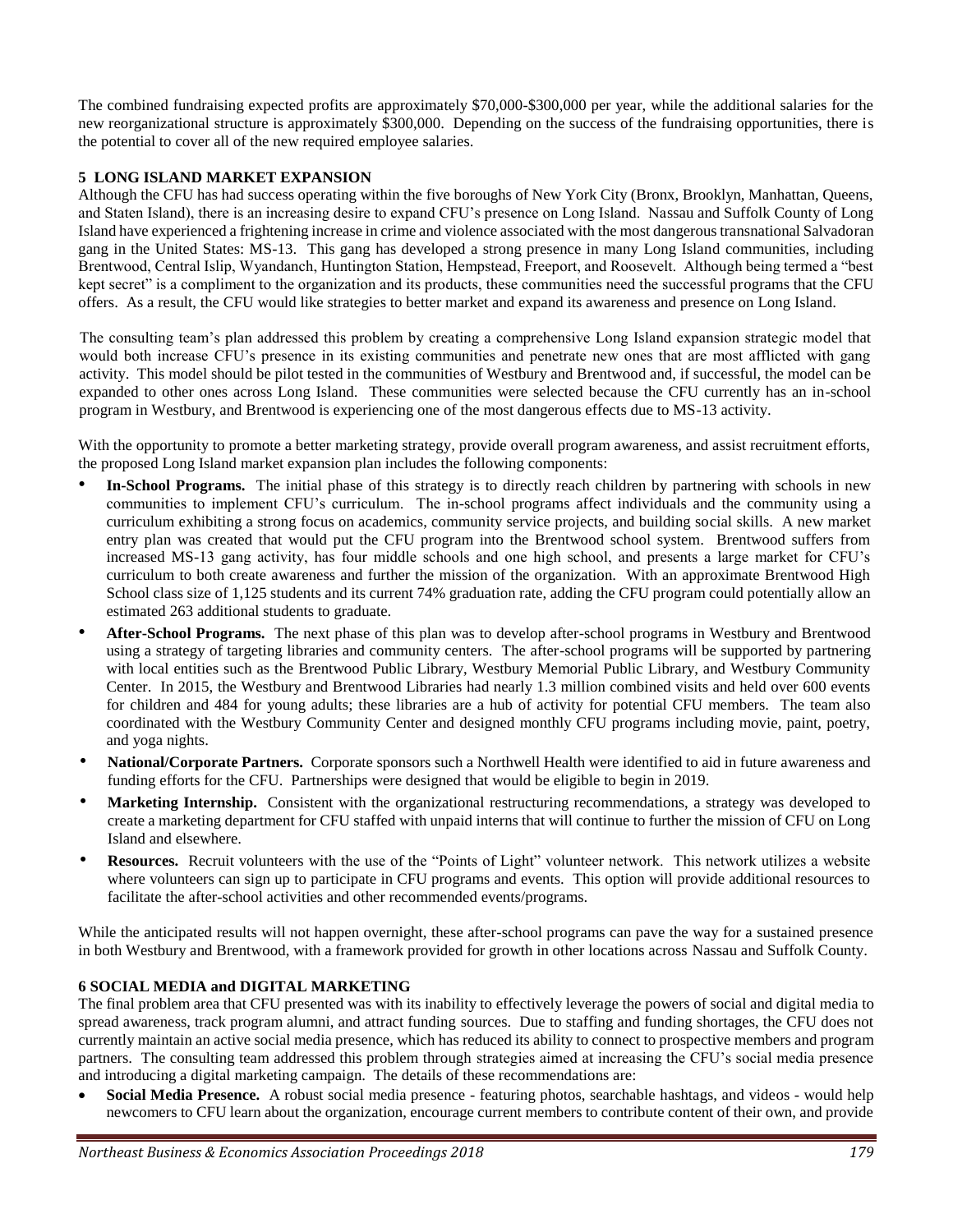The combined fundraising expected profits are approximately \$70,000-\$300,000 per year, while the additional salaries for the new reorganizational structure is approximately \$300,000. Depending on the success of the fundraising opportunities, there is the potential to cover all of the new required employee salaries.

#### **5 LONG ISLAND MARKET EXPANSION**

Although the CFU has had success operating within the five boroughs of New York City (Bronx, Brooklyn, Manhattan, Queens, and Staten Island), there is an increasing desire to expand CFU's presence on Long Island. Nassau and Suffolk County of Long Island have experienced a frightening increase in crime and violence associated with the most dangerous transnational Salvadoran gang in the United States: MS-13. This gang has developed a strong presence in many Long Island communities, including Brentwood, Central Islip, Wyandanch, Huntington Station, Hempstead, Freeport, and Roosevelt. Although being termed a "best kept secret" is a compliment to the organization and its products, these communities need the successful programs that the CFU offers. As a result, the CFU would like strategies to better market and expand its awareness and presence on Long Island.

The consulting team's plan addressed this problem by creating a comprehensive Long Island expansion strategic model that would both increase CFU's presence in its existing communities and penetrate new ones that are most afflicted with gang activity. This model should be pilot tested in the communities of Westbury and Brentwood and, if successful, the model can be expanded to other ones across Long Island. These communities were selected because the CFU currently has an in-school program in Westbury, and Brentwood is experiencing one of the most dangerous effects due to MS-13 activity.

With the opportunity to promote a better marketing strategy, provide overall program awareness, and assist recruitment efforts, the proposed Long Island market expansion plan includes the following components:

- **In-School Programs.** The initial phase of this strategy is to directly reach children by partnering with schools in new communities to implement CFU's curriculum. The in-school programs affect individuals and the community using a curriculum exhibiting a strong focus on academics, community service projects, and building social skills. A new market entry plan was created that would put the CFU program into the Brentwood school system. Brentwood suffers from increased MS-13 gang activity, has four middle schools and one high school, and presents a large market for CFU's curriculum to both create awareness and further the mission of the organization. With an approximate Brentwood High School class size of 1,125 students and its current 74% graduation rate, adding the CFU program could potentially allow an estimated 263 additional students to graduate.
- **After-School Programs.** The next phase of this plan was to develop after-school programs in Westbury and Brentwood using a strategy of targeting libraries and community centers. The after-school programs will be supported by partnering with local entities such as the Brentwood Public Library, Westbury Memorial Public Library, and Westbury Community Center. In 2015, the Westbury and Brentwood Libraries had nearly 1.3 million combined visits and held over 600 events for children and 484 for young adults; these libraries are a hub of activity for potential CFU members. The team also coordinated with the Westbury Community Center and designed monthly CFU programs including movie, paint, poetry, and yoga nights.
- **National/Corporate Partners.** Corporate sponsors such a Northwell Health were identified to aid in future awareness and funding efforts for the CFU. Partnerships were designed that would be eligible to begin in 2019.
- **Marketing Internship.** Consistent with the organizational restructuring recommendations, a strategy was developed to create a marketing department for CFU staffed with unpaid interns that will continue to further the mission of CFU on Long Island and elsewhere.
- **Resources.** Recruit volunteers with the use of the "Points of Light" volunteer network. This network utilizes a website where volunteers can sign up to participate in CFU programs and events. This option will provide additional resources to facilitate the after-school activities and other recommended events/programs.

While the anticipated results will not happen overnight, these after-school programs can pave the way for a sustained presence in both Westbury and Brentwood, with a framework provided for growth in other locations across Nassau and Suffolk County.

#### **6 SOCIAL MEDIA and DIGITAL MARKETING**

The final problem area that CFU presented was with its inability to effectively leverage the powers of social and digital media to spread awareness, track program alumni, and attract funding sources. Due to staffing and funding shortages, the CFU does not currently maintain an active social media presence, which has reduced its ability to connect to prospective members and program partners. The consulting team addressed this problem through strategies aimed at increasing the CFU's social media presence and introducing a digital marketing campaign. The details of these recommendations are:

• **Social Media Presence.** A robust social media presence - featuring photos, searchable hashtags, and videos - would help newcomers to CFU learn about the organization, encourage current members to contribute content of their own, and provide